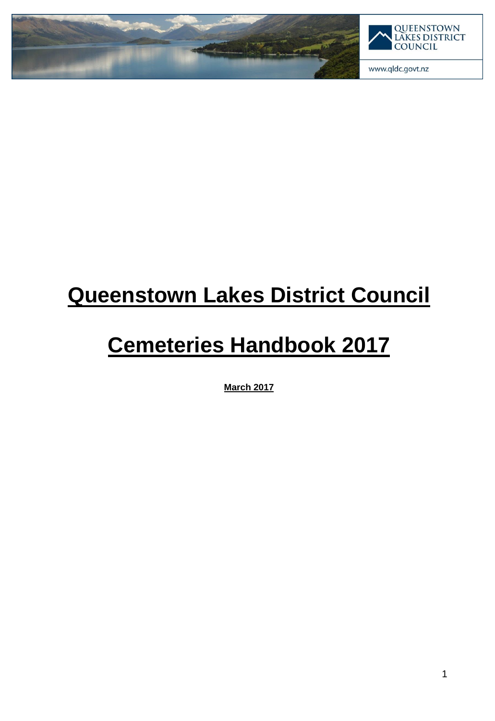

### **Queenstown Lakes District Council**

### **Cemeteries Handbook 2017**

**March 2017**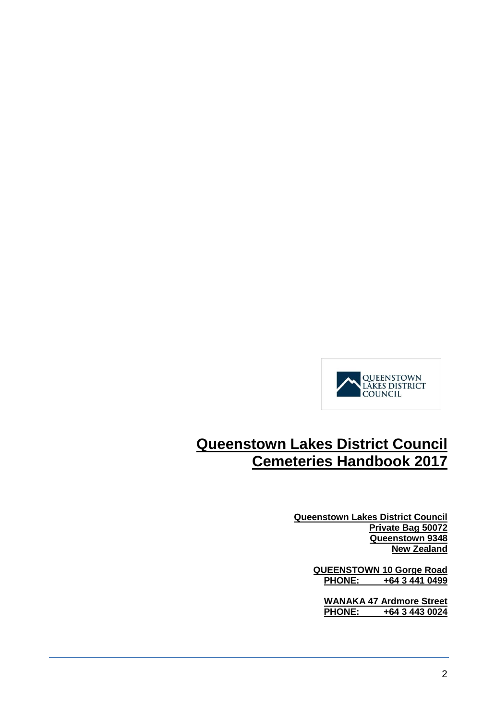

### **Queenstown Lakes District Council Cemeteries Handbook 2017**

**Queenstown Lakes District Council Private Bag 50072 Queenstown 9348 New Zealand**

> QUEENSTOWN 10 Gorge Road<br>PHONE: +64 3 441 0499 **PHONE: +64 3 441 0499**

**WANAKA 47 Ardmore Street PHONE: +64 3 443 0024**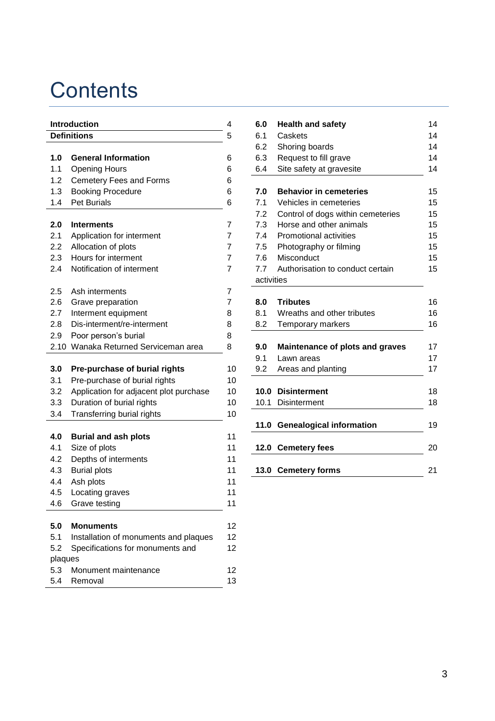### **Contents**

| Introduction       |                                        | 4              | 6.0        | <b>Health and safety</b>          | 14 |
|--------------------|----------------------------------------|----------------|------------|-----------------------------------|----|
| <b>Definitions</b> |                                        | 5              | 6.1        | Caskets                           | 14 |
|                    |                                        |                | 6.2        | Shoring boards                    | 14 |
| $1.0$              | <b>General Information</b>             | 6              | 6.3        | Request to fill grave             | 14 |
| 1.1                | <b>Opening Hours</b>                   | 6              | 6.4        | Site safety at gravesite          | 14 |
| 1.2                | Cemetery Fees and Forms                | 6              |            |                                   |    |
| 1.3                | <b>Booking Procedure</b>               | 6              | 7.0        | <b>Behavior in cemeteries</b>     | 15 |
| 1.4                | Pet Burials                            | 6              | 7.1        | Vehicles in cemeteries            | 15 |
|                    |                                        |                | 7.2        | Control of dogs within cemeteries | 15 |
| 2.0                | <b>Interments</b>                      | 7              | 7.3        | Horse and other animals           | 15 |
| 2.1                | Application for interment              | 7              | 7.4        | Promotional activities            | 15 |
| 2.2                | Allocation of plots                    | 7              | 7.5        | Photography or filming            | 15 |
| 2.3                | Hours for interment                    | 7              | 7.6        | Misconduct                        | 15 |
| 2.4                | Notification of interment              | $\overline{7}$ | 7.7        | Authorisation to conduct certain  | 15 |
|                    |                                        |                | activities |                                   |    |
| 2.5                | Ash interments                         | 7              |            |                                   |    |
| 2.6                | Grave preparation                      | 7              | 8.0        | <b>Tributes</b>                   | 16 |
| 2.7                | Interment equipment                    | 8              | 8.1        | Wreaths and other tributes        | 16 |
| 2.8                | Dis-interment/re-interment             | 8              | 8.2        | Temporary markers                 | 16 |
| 2.9                | Poor person's burial                   | 8              |            |                                   |    |
|                    | 2.10 Wanaka Returned Serviceman area   | 8              | 9.0        | Maintenance of plots and graves   | 17 |
|                    |                                        |                | 9.1        | Lawn areas                        | 17 |
| 3.0                | Pre-purchase of burial rights          | 10             | 9.2        | Areas and planting                | 17 |
| 3.1                | Pre-purchase of burial rights          | 10             |            |                                   |    |
| 3.2                | Application for adjacent plot purchase | 10             |            | 10.0 Disinterment                 | 18 |
| 3.3                | Duration of burial rights              | 10             |            | 10.1 Disinterment                 | 18 |
| 3.4                | Transferring burial rights             | 10             |            |                                   |    |
|                    |                                        |                |            | 11.0 Genealogical information     | 19 |
| 4.0                | <b>Burial and ash plots</b>            | 11             |            |                                   |    |
| 4.1                | Size of plots                          | 11             |            | 12.0 Cemetery fees                | 20 |
| 4.2                | Depths of interments                   | 11             |            |                                   |    |
| 4.3                | <b>Burial plots</b>                    | 11             |            | 13.0 Cemetery forms               | 21 |
| 4.4                | Ash plots                              | 11             |            |                                   |    |
| 4.5                | Locating graves                        | 11             |            |                                   |    |
| 4.6                | Grave testing                          | 11             |            |                                   |    |
|                    |                                        |                |            |                                   |    |
| 5.0                | <b>Monuments</b>                       | 12             |            |                                   |    |
| 5.1                | Installation of monuments and plaques  | 12             |            |                                   |    |
| 5.2                | Specifications for monuments and       | 12             |            |                                   |    |
| plaques            |                                        |                |            |                                   |    |
| 5.3                | Monument maintenance                   | 12             |            |                                   |    |
| 5.4                | Removal                                | 13             |            |                                   |    |

| 6.0        | <b>Health and safety</b>               | 14 |
|------------|----------------------------------------|----|
| 6.1        | Caskets                                | 14 |
| 6.2        | Shoring boards                         | 14 |
| 6.3        | Request to fill grave                  | 14 |
| 6.4        | Site safety at gravesite               | 14 |
|            |                                        |    |
| 7.0        | <b>Behavior in cemeteries</b>          | 15 |
| 7.1        | Vehicles in cemeteries                 | 15 |
| 7.2        | Control of dogs within cemeteries      | 15 |
| 7.3        | Horse and other animals                | 15 |
| 7.4        | Promotional activities                 | 15 |
| 7.5        | Photography or filming                 | 15 |
| 7.6        | Misconduct                             | 15 |
| 7.7        | Authorisation to conduct certain       | 15 |
| activities |                                        |    |
|            |                                        |    |
| 8.0        | <b>Tributes</b>                        | 16 |
| 8.1        | Wreaths and other tributes             | 16 |
| 8.2        | Temporary markers                      | 16 |
|            |                                        |    |
| 9.0        | <b>Maintenance of plots and graves</b> | 17 |
| 9.1        | Lawn areas                             | 17 |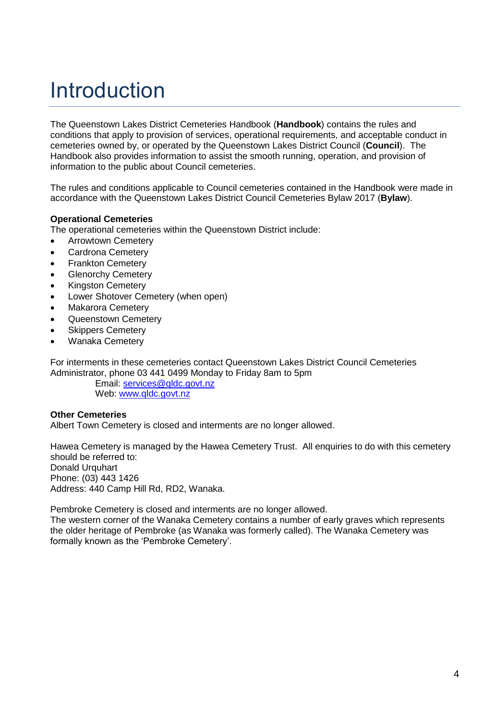### Introduction

The Queenstown Lakes District Cemeteries Handbook (**Handbook**) contains the rules and conditions that apply to provision of services, operational requirements, and acceptable conduct in cemeteries owned by, or operated by the Queenstown Lakes District Council (**Council**). The Handbook also provides information to assist the smooth running, operation, and provision of information to the public about Council cemeteries.

The rules and conditions applicable to Council cemeteries contained in the Handbook were made in accordance with the Queenstown Lakes District Council Cemeteries Bylaw 2017 (**Bylaw**).

#### **Operational Cemeteries**

The operational cemeteries within the Queenstown District include:

- Arrowtown Cemetery
- Cardrona Cemetery
- Frankton Cemetery
- Glenorchy Cemetery
- Kingston Cemetery
- Lower Shotover Cemetery (when open)
- Makarora Cemetery
- Queenstown Cemetery
- Skippers Cemetery
- Wanaka Cemetery

For interments in these cemeteries contact Queenstown Lakes District Council Cemeteries Administrator, phone 03 441 0499 Monday to Friday 8am to 5pm

> Email: [services@qldc.govt.nz](mailto:services@qldc.govt.nz) Web: [www.qldc.govt.nz](http://www.qldc.govt.nz/)

#### **Other Cemeteries**

Albert Town Cemetery is closed and interments are no longer allowed.

Hawea Cemetery is managed by the Hawea Cemetery Trust. All enquiries to do with this cemetery should be referred to: Donald Urquhart Phone: (03) 443 1426 Address: 440 Camp Hill Rd, RD2, Wanaka.

Pembroke Cemetery is closed and interments are no longer allowed.

The western corner of the Wanaka Cemetery contains a number of early graves which represents the older heritage of Pembroke (as Wanaka was formerly called). The Wanaka Cemetery was formally known as the 'Pembroke Cemetery'.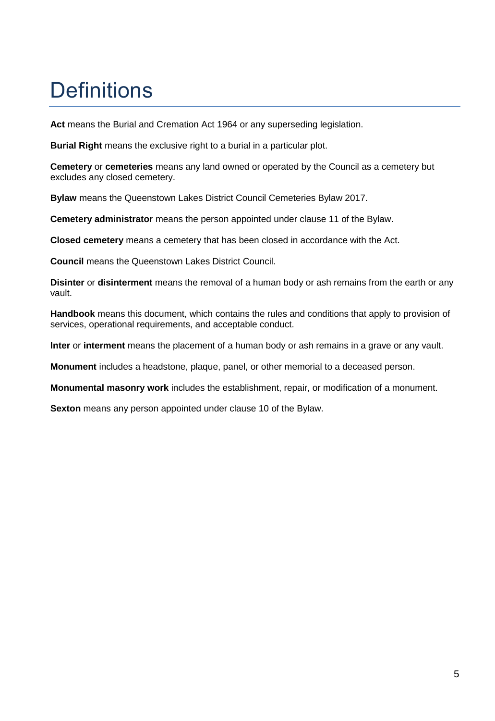### **Definitions**

**Act** means the Burial and Cremation Act 1964 or any superseding legislation.

**Burial Right** means the exclusive right to a burial in a particular plot.

**Cemetery** or **cemeteries** means any land owned or operated by the Council as a cemetery but excludes any closed cemetery.

**Bylaw** means the Queenstown Lakes District Council Cemeteries Bylaw 2017.

**Cemetery administrator** means the person appointed under clause 11 of the Bylaw.

**Closed cemetery** means a cemetery that has been closed in accordance with the Act.

**Council** means the Queenstown Lakes District Council.

**Disinter** or **disinterment** means the removal of a human body or ash remains from the earth or any vault.

**Handbook** means this document, which contains the rules and conditions that apply to provision of services, operational requirements, and acceptable conduct.

**Inter** or **interment** means the placement of a human body or ash remains in a grave or any vault.

**Monument** includes a headstone, plaque, panel, or other memorial to a deceased person.

**Monumental masonry work** includes the establishment, repair, or modification of a monument.

**Sexton** means any person appointed under clause 10 of the Bylaw.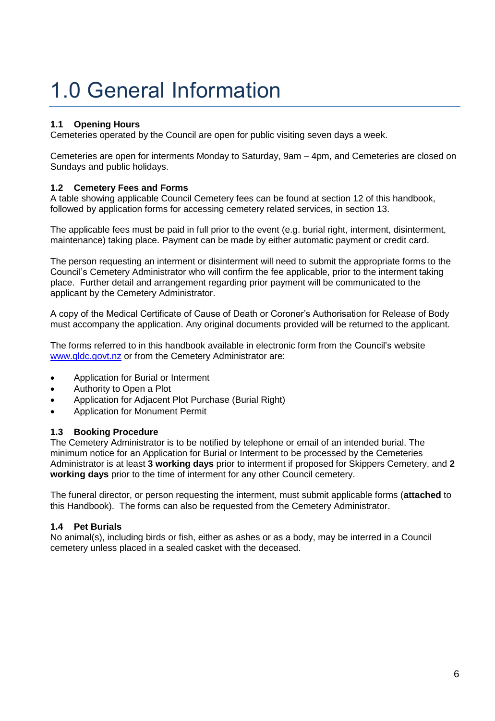## 1.0 General Information

#### **1.1 Opening Hours**

Cemeteries operated by the Council are open for public visiting seven days a week.

Cemeteries are open for interments Monday to Saturday, 9am – 4pm, and Cemeteries are closed on Sundays and public holidays.

#### **1.2 Cemetery Fees and Forms**

A table showing applicable Council Cemetery fees can be found at section 12 of this handbook, followed by application forms for accessing cemetery related services, in section 13.

The applicable fees must be paid in full prior to the event (e.g. burial right, interment, disinterment, maintenance) taking place. Payment can be made by either automatic payment or credit card.

The person requesting an interment or disinterment will need to submit the appropriate forms to the Council's Cemetery Administrator who will confirm the fee applicable, prior to the interment taking place. Further detail and arrangement regarding prior payment will be communicated to the applicant by the Cemetery Administrator.

A copy of the Medical Certificate of Cause of Death or Coroner's Authorisation for Release of Body must accompany the application. Any original documents provided will be returned to the applicant.

The forms referred to in this handbook available in electronic form from the Council's website [www.qldc.govt.nz](http://www.qldc.govt.nz/) or from the Cemetery Administrator are:

- Application for Burial or Interment
- Authority to Open a Plot
- Application for Adjacent Plot Purchase (Burial Right)
- Application for Monument Permit

#### **1.3 Booking Procedure**

The Cemetery Administrator is to be notified by telephone or email of an intended burial. The minimum notice for an Application for Burial or Interment to be processed by the Cemeteries Administrator is at least **3 working days** prior to interment if proposed for Skippers Cemetery, and **2 working days** prior to the time of interment for any other Council cemetery.

The funeral director, or person requesting the interment, must submit applicable forms (**attached** to this Handbook). The forms can also be requested from the Cemetery Administrator.

#### **1.4 Pet Burials**

No animal(s), including birds or fish, either as ashes or as a body, may be interred in a Council cemetery unless placed in a sealed casket with the deceased.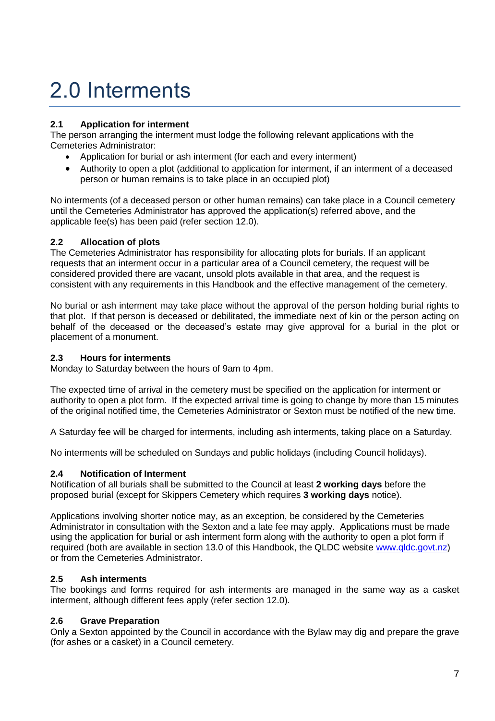## 2.0 Interments

#### **2.1 Application for interment**

The person arranging the interment must lodge the following relevant applications with the Cemeteries Administrator:

- Application for burial or ash interment (for each and every interment)
- Authority to open a plot (additional to application for interment, if an interment of a deceased person or human remains is to take place in an occupied plot)

No interments (of a deceased person or other human remains) can take place in a Council cemetery until the Cemeteries Administrator has approved the application(s) referred above, and the applicable fee(s) has been paid (refer section 12.0).

#### **2.2 Allocation of plots**

The Cemeteries Administrator has responsibility for allocating plots for burials. If an applicant requests that an interment occur in a particular area of a Council cemetery, the request will be considered provided there are vacant, unsold plots available in that area, and the request is consistent with any requirements in this Handbook and the effective management of the cemetery.

No burial or ash interment may take place without the approval of the person holding burial rights to that plot. If that person is deceased or debilitated, the immediate next of kin or the person acting on behalf of the deceased or the deceased's estate may give approval for a burial in the plot or placement of a monument.

#### **2.3 Hours for interments**

Monday to Saturday between the hours of 9am to 4pm.

The expected time of arrival in the cemetery must be specified on the application for interment or authority to open a plot form. If the expected arrival time is going to change by more than 15 minutes of the original notified time, the Cemeteries Administrator or Sexton must be notified of the new time.

A Saturday fee will be charged for interments, including ash interments, taking place on a Saturday.

No interments will be scheduled on Sundays and public holidays (including Council holidays).

#### **2.4 Notification of Interment**

Notification of all burials shall be submitted to the Council at least **2 working days** before the proposed burial (except for Skippers Cemetery which requires **3 working days** notice).

Applications involving shorter notice may, as an exception, be considered by the Cemeteries Administrator in consultation with the Sexton and a late fee may apply. Applications must be made using the application for burial or ash interment form along with the authority to open a plot form if required (both are available in section 13.0 of this Handbook, the QLDC website [www.qldc.govt.nz\)](http://www.qldc.govt.nz/) or from the Cemeteries Administrator.

#### **2.5 Ash interments**

The bookings and forms required for ash interments are managed in the same way as a casket interment, although different fees apply (refer section 12.0).

#### **2.6 Grave Preparation**

Only a Sexton appointed by the Council in accordance with the Bylaw may dig and prepare the grave (for ashes or a casket) in a Council cemetery.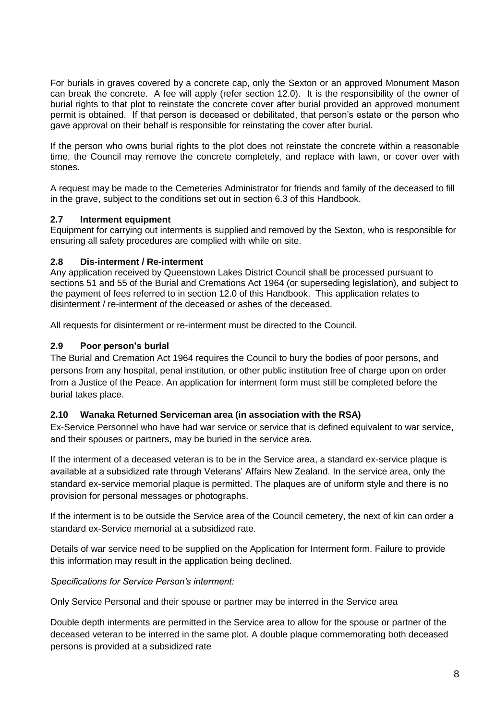For burials in graves covered by a concrete cap, only the Sexton or an approved Monument Mason can break the concrete. A fee will apply (refer section 12.0). It is the responsibility of the owner of burial rights to that plot to reinstate the concrete cover after burial provided an approved monument permit is obtained. If that person is deceased or debilitated, that person's estate or the person who gave approval on their behalf is responsible for reinstating the cover after burial.

If the person who owns burial rights to the plot does not reinstate the concrete within a reasonable time, the Council may remove the concrete completely, and replace with lawn, or cover over with stones.

A request may be made to the Cemeteries Administrator for friends and family of the deceased to fill in the grave, subject to the conditions set out in section 6.3 of this Handbook.

#### **2.7 Interment equipment**

Equipment for carrying out interments is supplied and removed by the Sexton, who is responsible for ensuring all safety procedures are complied with while on site.

#### **2.8 Dis-interment / Re-interment**

Any application received by Queenstown Lakes District Council shall be processed pursuant to sections 51 and 55 of the Burial and Cremations Act 1964 (or superseding legislation), and subject to the payment of fees referred to in section 12.0 of this Handbook. This application relates to disinterment / re-interment of the deceased or ashes of the deceased.

All requests for disinterment or re-interment must be directed to the Council.

#### **2.9 Poor person's burial**

The Burial and Cremation Act 1964 requires the Council to bury the bodies of poor persons, and persons from any hospital, penal institution, or other public institution free of charge upon on order from a Justice of the Peace. An application for interment form must still be completed before the burial takes place.

#### **2.10 Wanaka Returned Serviceman area (in association with the RSA)**

Ex-Service Personnel who have had war service or service that is defined equivalent to war service, and their spouses or partners, may be buried in the service area.

If the interment of a deceased veteran is to be in the Service area, a standard ex-service plaque is available at a subsidized rate through Veterans' Affairs New Zealand. In the service area, only the standard ex-service memorial plaque is permitted. The plaques are of uniform style and there is no provision for personal messages or photographs.

If the interment is to be outside the Service area of the Council cemetery, the next of kin can order a standard ex-Service memorial at a subsidized rate.

Details of war service need to be supplied on the Application for Interment form. Failure to provide this information may result in the application being declined.

#### *Specifications for Service Person's interment:*

Only Service Personal and their spouse or partner may be interred in the Service area

Double depth interments are permitted in the Service area to allow for the spouse or partner of the deceased veteran to be interred in the same plot. A double plaque commemorating both deceased persons is provided at a subsidized rate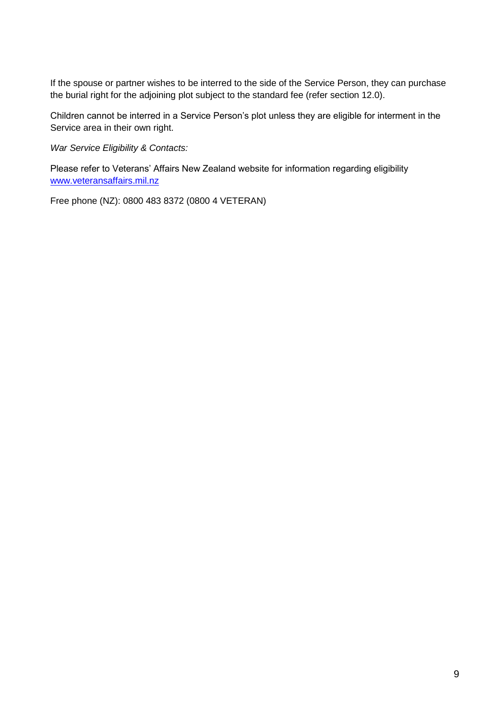If the spouse or partner wishes to be interred to the side of the Service Person, they can purchase the burial right for the adjoining plot subject to the standard fee (refer section 12.0).

Children cannot be interred in a Service Person's plot unless they are eligible for interment in the Service area in their own right.

*War Service Eligibility & Contacts:*

Please refer to Veterans' Affairs New Zealand website for information regarding eligibility [www.veteransaffairs.mil.nz](http://www.veteransaffairs.mil.nz/)

Free phone (NZ): 0800 483 8372 (0800 4 VETERAN)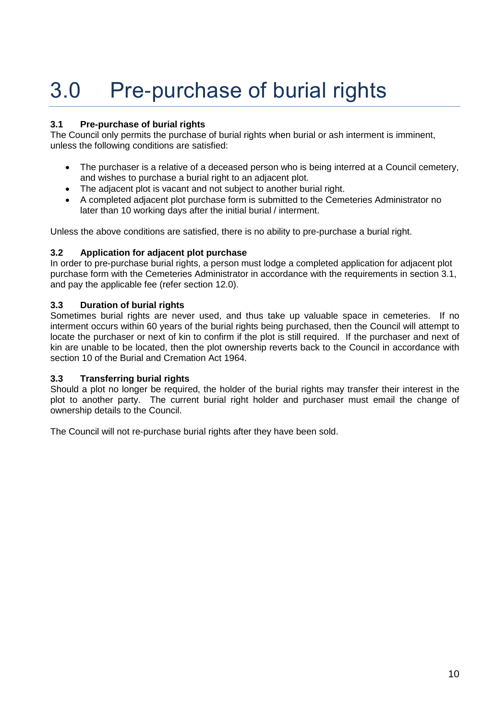# 3.0 Pre-purchase of burial rights

#### **3.1 Pre-purchase of burial rights**

The Council only permits the purchase of burial rights when burial or ash interment is imminent, unless the following conditions are satisfied:

- The purchaser is a relative of a deceased person who is being interred at a Council cemetery, and wishes to purchase a burial right to an adjacent plot.
- The adjacent plot is vacant and not subject to another burial right.
- A completed adjacent plot purchase form is submitted to the Cemeteries Administrator no later than 10 working days after the initial burial / interment.

Unless the above conditions are satisfied, there is no ability to pre-purchase a burial right.

#### **3.2 Application for adjacent plot purchase**

In order to pre-purchase burial rights, a person must lodge a completed application for adjacent plot purchase form with the Cemeteries Administrator in accordance with the requirements in section 3.1, and pay the applicable fee (refer section 12.0).

#### **3.3 Duration of burial rights**

Sometimes burial rights are never used, and thus take up valuable space in cemeteries. If no interment occurs within 60 years of the burial rights being purchased, then the Council will attempt to locate the purchaser or next of kin to confirm if the plot is still required. If the purchaser and next of kin are unable to be located, then the plot ownership reverts back to the Council in accordance with section 10 of the Burial and Cremation Act 1964.

#### **3.3 Transferring burial rights**

Should a plot no longer be required, the holder of the burial rights may transfer their interest in the plot to another party. The current burial right holder and purchaser must email the change of ownership details to the Council.

The Council will not re-purchase burial rights after they have been sold.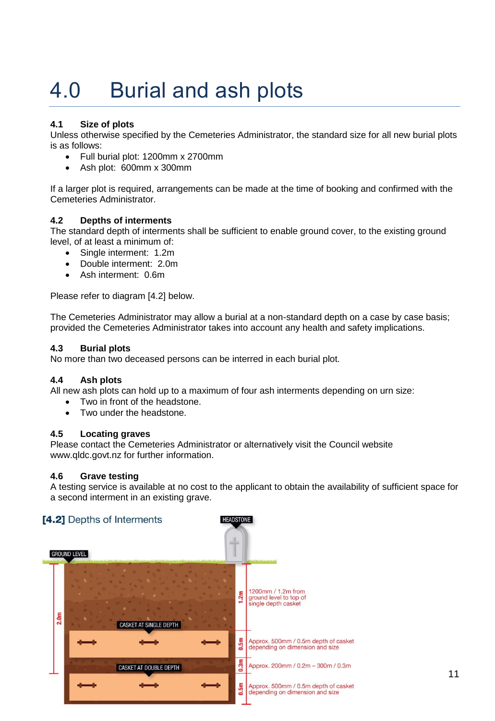## 4.0 Burial and ash plots

#### **4.1 Size of plots**

Unless otherwise specified by the Cemeteries Administrator, the standard size for all new burial plots is as follows:

- Full burial plot: 1200mm x 2700mm
- Ash plot: 600mm x 300mm

If a larger plot is required, arrangements can be made at the time of booking and confirmed with the Cemeteries Administrator.

#### **4.2 Depths of interments**

The standard depth of interments shall be sufficient to enable ground cover, to the existing ground level, of at least a minimum of:

- Single interment: 1.2m
- Double interment: 2.0m
- Ash interment: 0.6m

Please refer to diagram [4.2] below.

The Cemeteries Administrator may allow a burial at a non-standard depth on a case by case basis; provided the Cemeteries Administrator takes into account any health and safety implications.

#### **4.3 Burial plots**

No more than two deceased persons can be interred in each burial plot.

#### **4.4 Ash plots**

All new ash plots can hold up to a maximum of four ash interments depending on urn size:

- Two in front of the headstone.
	- Two under the headstone.

#### **4.5 Locating graves**

Please contact the Cemeteries Administrator or alternatively visit the Council website www.qldc.govt.nz for further information.

#### **4.6 Grave testing**

A testing service is available at no cost to the applicant to obtain the availability of sufficient space for a second interment in an existing grave.

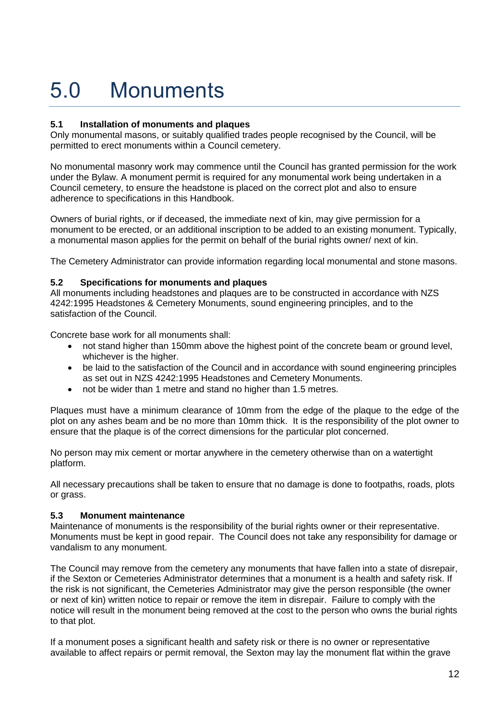# 5.0 Monuments

#### **5.1 Installation of monuments and plaques**

Only monumental masons, or suitably qualified trades people recognised by the Council, will be permitted to erect monuments within a Council cemetery.

No monumental masonry work may commence until the Council has granted permission for the work under the Bylaw. A monument permit is required for any monumental work being undertaken in a Council cemetery, to ensure the headstone is placed on the correct plot and also to ensure adherence to specifications in this Handbook.

Owners of burial rights, or if deceased, the immediate next of kin, may give permission for a monument to be erected, or an additional inscription to be added to an existing monument. Typically, a monumental mason applies for the permit on behalf of the burial rights owner/ next of kin.

The Cemetery Administrator can provide information regarding local monumental and stone masons.

#### **5.2 Specifications for monuments and plaques**

All monuments including headstones and plaques are to be constructed in accordance with NZS 4242:1995 Headstones & Cemetery Monuments, sound engineering principles, and to the satisfaction of the Council.

Concrete base work for all monuments shall:

- not stand higher than 150mm above the highest point of the concrete beam or ground level, whichever is the higher.
- be laid to the satisfaction of the Council and in accordance with sound engineering principles as set out in NZS 4242:1995 Headstones and Cemetery Monuments.
- not be wider than 1 metre and stand no higher than 1.5 metres.

Plaques must have a minimum clearance of 10mm from the edge of the plaque to the edge of the plot on any ashes beam and be no more than 10mm thick. It is the responsibility of the plot owner to ensure that the plaque is of the correct dimensions for the particular plot concerned.

No person may mix cement or mortar anywhere in the cemetery otherwise than on a watertight platform.

All necessary precautions shall be taken to ensure that no damage is done to footpaths, roads, plots or grass.

#### **5.3 Monument maintenance**

Maintenance of monuments is the responsibility of the burial rights owner or their representative. Monuments must be kept in good repair. The Council does not take any responsibility for damage or vandalism to any monument.

The Council may remove from the cemetery any monuments that have fallen into a state of disrepair, if the Sexton or Cemeteries Administrator determines that a monument is a health and safety risk. If the risk is not significant, the Cemeteries Administrator may give the person responsible (the owner or next of kin) written notice to repair or remove the item in disrepair. Failure to comply with the notice will result in the monument being removed at the cost to the person who owns the burial rights to that plot.

If a monument poses a significant health and safety risk or there is no owner or representative available to affect repairs or permit removal, the Sexton may lay the monument flat within the grave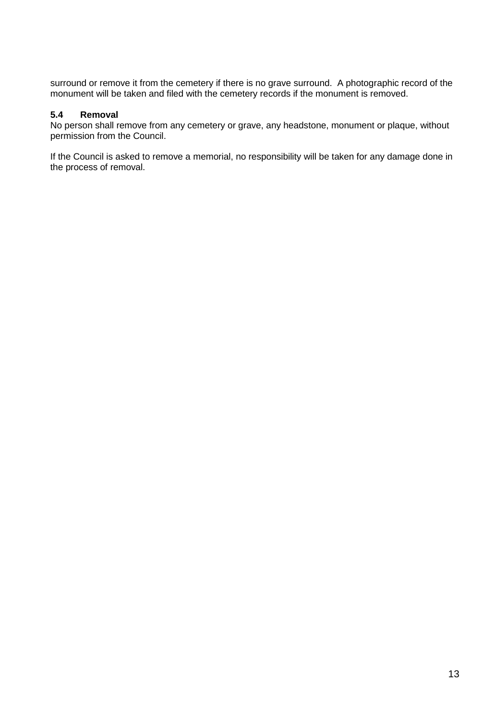surround or remove it from the cemetery if there is no grave surround. A photographic record of the monument will be taken and filed with the cemetery records if the monument is removed.

#### **5.4 Removal**

No person shall remove from any cemetery or grave, any headstone, monument or plaque, without permission from the Council.

If the Council is asked to remove a memorial, no responsibility will be taken for any damage done in the process of removal.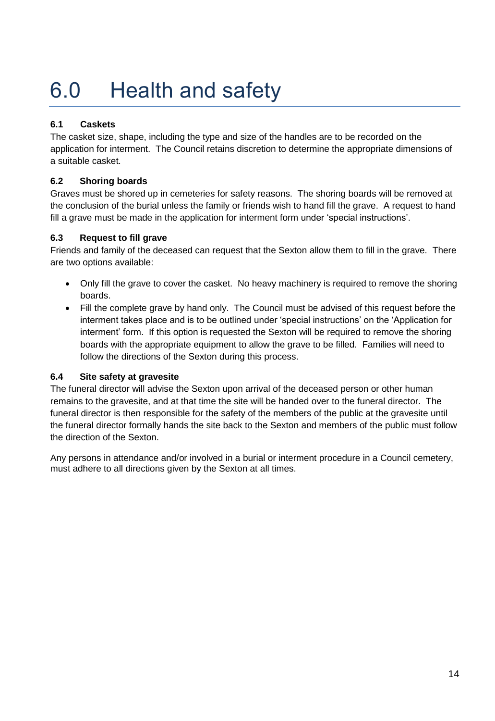# 6.0 Health and safety

#### **6.1 Caskets**

The casket size, shape, including the type and size of the handles are to be recorded on the application for interment. The Council retains discretion to determine the appropriate dimensions of a suitable casket.

#### **6.2 Shoring boards**

Graves must be shored up in cemeteries for safety reasons. The shoring boards will be removed at the conclusion of the burial unless the family or friends wish to hand fill the grave. A request to hand fill a grave must be made in the application for interment form under 'special instructions'.

#### **6.3 Request to fill grave**

Friends and family of the deceased can request that the Sexton allow them to fill in the grave. There are two options available:

- Only fill the grave to cover the casket. No heavy machinery is required to remove the shoring boards.
- Fill the complete grave by hand only. The Council must be advised of this request before the interment takes place and is to be outlined under 'special instructions' on the 'Application for interment' form. If this option is requested the Sexton will be required to remove the shoring boards with the appropriate equipment to allow the grave to be filled. Families will need to follow the directions of the Sexton during this process.

#### **6.4 Site safety at gravesite**

The funeral director will advise the Sexton upon arrival of the deceased person or other human remains to the gravesite, and at that time the site will be handed over to the funeral director. The funeral director is then responsible for the safety of the members of the public at the gravesite until the funeral director formally hands the site back to the Sexton and members of the public must follow the direction of the Sexton.

Any persons in attendance and/or involved in a burial or interment procedure in a Council cemetery, must adhere to all directions given by the Sexton at all times.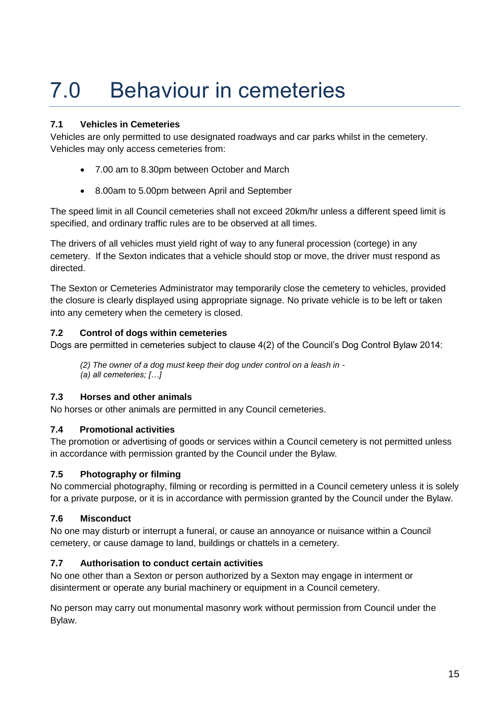## 7.0 Behaviour in cemeteries

#### **7.1 Vehicles in Cemeteries**

Vehicles are only permitted to use designated roadways and car parks whilst in the cemetery. Vehicles may only access cemeteries from:

- 7.00 am to 8.30pm between October and March
- 8.00am to 5.00pm between April and September

The speed limit in all Council cemeteries shall not exceed 20km/hr unless a different speed limit is specified, and ordinary traffic rules are to be observed at all times.

The drivers of all vehicles must yield right of way to any funeral procession (cortege) in any cemetery. If the Sexton indicates that a vehicle should stop or move, the driver must respond as directed.

The Sexton or Cemeteries Administrator may temporarily close the cemetery to vehicles, provided the closure is clearly displayed using appropriate signage. No private vehicle is to be left or taken into any cemetery when the cemetery is closed.

#### **7.2 Control of dogs within cemeteries**

Dogs are permitted in cemeteries subject to clause 4(2) of the Council's Dog Control Bylaw 2014:

*(2) The owner of a dog must keep their dog under control on a leash in - (a) all cemeteries; […]*

#### **7.3 Horses and other animals**

No horses or other animals are permitted in any Council cemeteries.

#### **7.4 Promotional activities**

The promotion or advertising of goods or services within a Council cemetery is not permitted unless in accordance with permission granted by the Council under the Bylaw.

#### **7.5 Photography or filming**

No commercial photography, filming or recording is permitted in a Council cemetery unless it is solely for a private purpose, or it is in accordance with permission granted by the Council under the Bylaw.

#### **7.6 Misconduct**

No one may disturb or interrupt a funeral, or cause an annoyance or nuisance within a Council cemetery, or cause damage to land, buildings or chattels in a cemetery.

#### **7.7 Authorisation to conduct certain activities**

No one other than a Sexton or person authorized by a Sexton may engage in interment or disinterment or operate any burial machinery or equipment in a Council cemetery.

No person may carry out monumental masonry work without permission from Council under the Bylaw.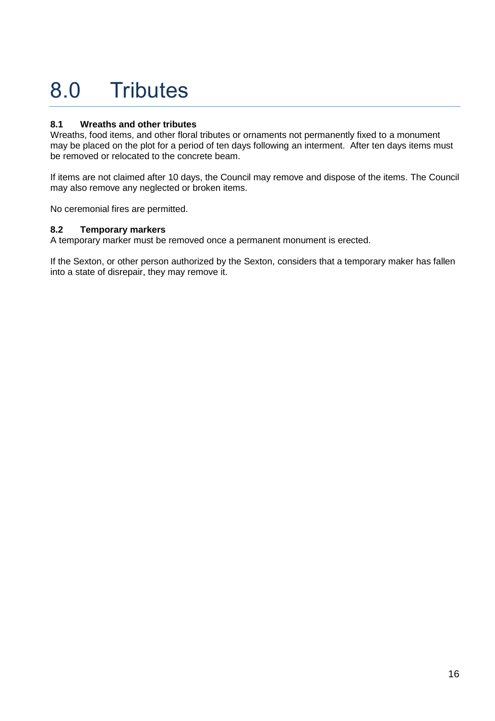# 8.0 Tributes

#### **8.1 Wreaths and other tributes**

Wreaths, food items, and other floral tributes or ornaments not permanently fixed to a monument may be placed on the plot for a period of ten days following an interment. After ten days items must be removed or relocated to the concrete beam.

If items are not claimed after 10 days, the Council may remove and dispose of the items. The Council may also remove any neglected or broken items.

No ceremonial fires are permitted.

#### **8.2 Temporary markers**

A temporary marker must be removed once a permanent monument is erected.

If the Sexton, or other person authorized by the Sexton, considers that a temporary maker has fallen into a state of disrepair, they may remove it.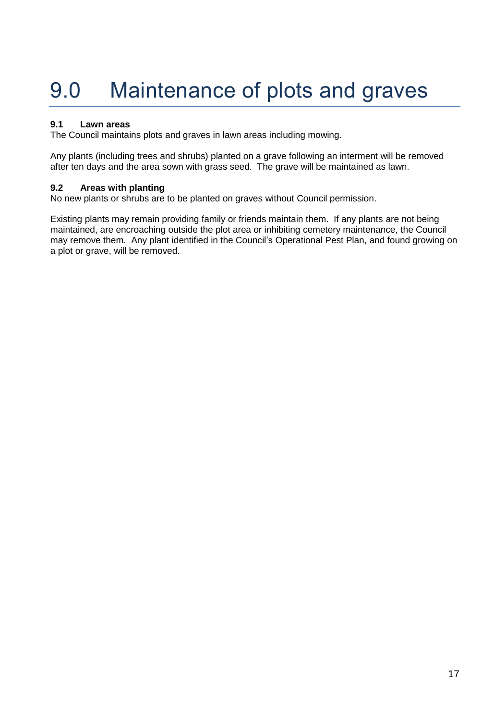# 9.0 Maintenance of plots and graves

#### **9.1 Lawn areas**

The Council maintains plots and graves in lawn areas including mowing.

Any plants (including trees and shrubs) planted on a grave following an interment will be removed after ten days and the area sown with grass seed. The grave will be maintained as lawn.

#### **9.2 Areas with planting**

No new plants or shrubs are to be planted on graves without Council permission.

Existing plants may remain providing family or friends maintain them. If any plants are not being maintained, are encroaching outside the plot area or inhibiting cemetery maintenance, the Council may remove them. Any plant identified in the Council's Operational Pest Plan, and found growing on a plot or grave, will be removed.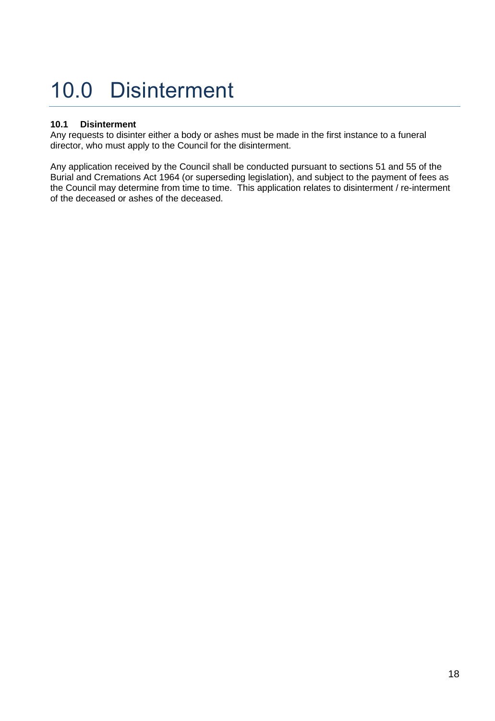# 10.0 Disinterment

#### **10.1 Disinterment**

Any requests to disinter either a body or ashes must be made in the first instance to a funeral director, who must apply to the Council for the disinterment.

Any application received by the Council shall be conducted pursuant to sections 51 and 55 of the Burial and Cremations Act 1964 (or superseding legislation), and subject to the payment of fees as the Council may determine from time to time. This application relates to disinterment / re-interment of the deceased or ashes of the deceased.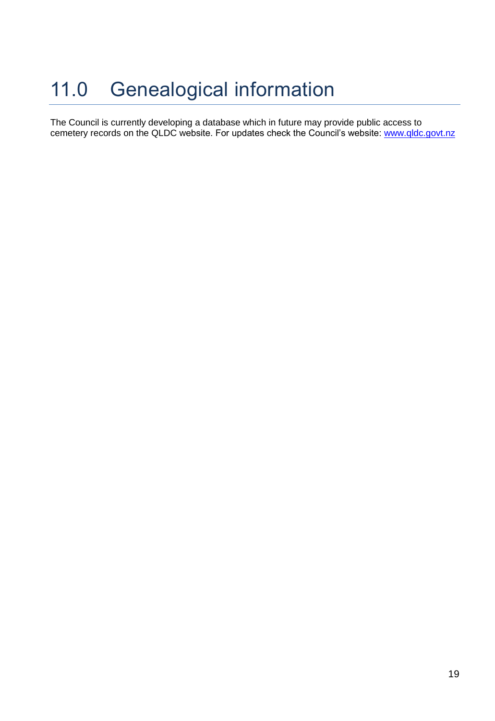### 11.0 Genealogical information

The Council is currently developing a database which in future may provide public access to cemetery records on the QLDC website. For updates check the Council's website: [www.qldc.govt.nz](http://www.qldc.govt.nz/)